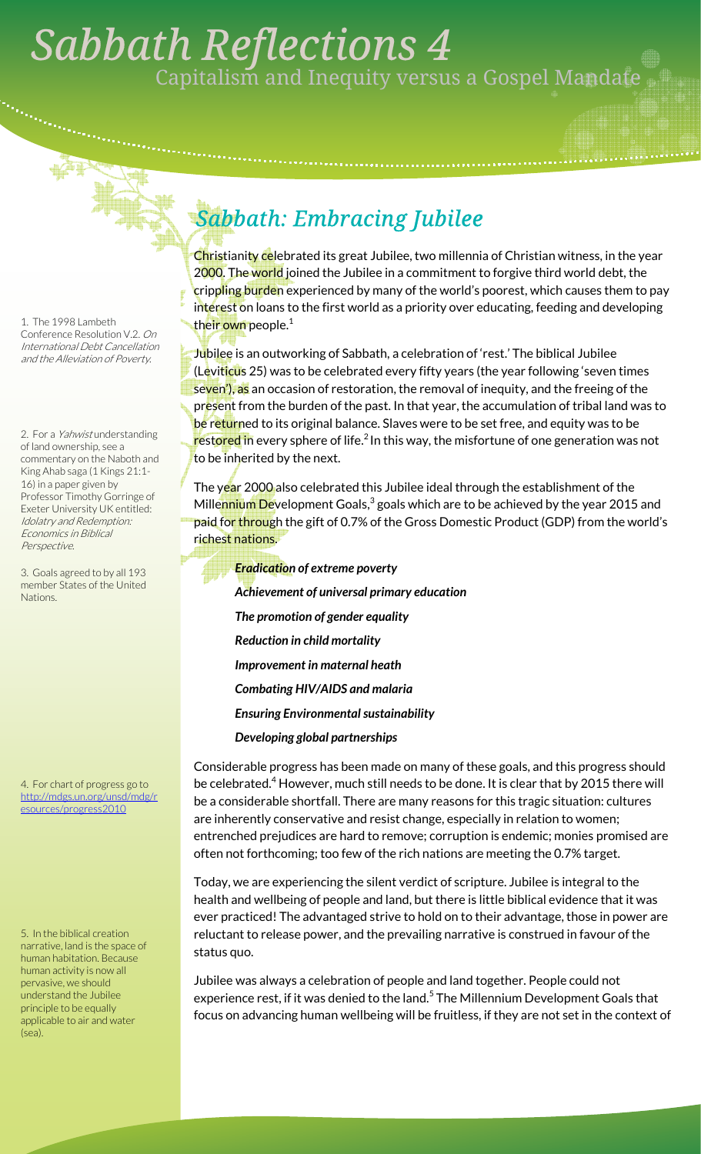## . *Sabbath Reflections 4*  Capitalism and Inequity versus a Gospel Mandate

1. The 1998 Lambeth Conference Resolution V.2. On International Debt Cancellation and the Alleviation of Poverty.

2. For a Yahwist understanding of land ownership, see a commentary on the Naboth and King Ahab saga (1 Kings 21:1- 16) in a paper given by Professor Timothy Gorringe of Exeter University UK entitled: Idolatry and Redemption: Economics in Biblical Perspective.

3. Goals agreed to by all 193 member States of the United Nations.

4. For chart of progress go to http://mdgs.un.org/unsd/mdg/r esources/progress2010

5. In the biblical creation narrative, land is the space of human habitation. Because human activity is now all pervasive, we should understand the Jubilee principle to be equally applicable to air and water (sea).

## *Sabbath: Embracing Jubilee*

Christianity celebrated its great Jubilee, two millennia of Christian witness, in the year 2000. The world joined the Jubilee in a commitment to forgive third world debt, the crippling burden experienced by many of the world's poorest, which causes them to pay interest on loans to the first world as a priority over educating, feeding and developing their own people.<sup>1</sup>

Jubilee is an outworking of Sabbath, a celebration of 'rest.' The biblical Jubilee (L<mark>e</mark>vit<mark>icu</mark>s 25) was to be celebrated every fifty years (the year following 'seven times seven'), as an occasion of restoration, the removal of inequity, and the freeing of the pr<mark>es</mark>ent from the burden of the past. In that year, the accumulation of tribal land was to be returned to its original balance. Slaves were to be set free, and equity was to be restored in every sphere of life.<sup>2</sup> In this way, the misfortune of one generation was not to be inherited by the next.

The year 2000 also celebrated this Jubilee ideal through the establishment of the Mille<mark>nnium De</mark>velopment Goals,<sup>3</sup> goals which are to be achieved by the year 2015 and paid for through the gift of 0.7% of the Gross Domestic Product (GDP) from the world's richest nations.

*Eradication of extreme poverty Achievement of universal primary education The promotion of gender equality Reduction in child mortality Improvement in maternal heath Combating HIV/AIDS and malaria Ensuring Environmental sustainability Developing global partnerships* 

Considerable progress has been made on many of these goals, and this progress should be celebrated.<sup>4</sup> However, much still needs to be done. It is clear that by 2015 there will be a considerable shortfall. There are many reasons for this tragic situation: cultures are inherently conservative and resist change, especially in relation to women; entrenched prejudices are hard to remove; corruption is endemic; monies promised are often not forthcoming; too few of the rich nations are meeting the 0.7% target.

Today, we are experiencing the silent verdict of scripture. Jubilee is integral to the health and wellbeing of people and land, but there is little biblical evidence that it was ever practiced! The advantaged strive to hold on to their advantage, those in power are reluctant to release power, and the prevailing narrative is construed in favour of the status quo.

Jubilee was always a celebration of people and land together. People could not experience rest, if it was denied to the land.<sup>5</sup> The Millennium Development Goals that focus on advancing human wellbeing will be fruitless, if they are not set in the context of